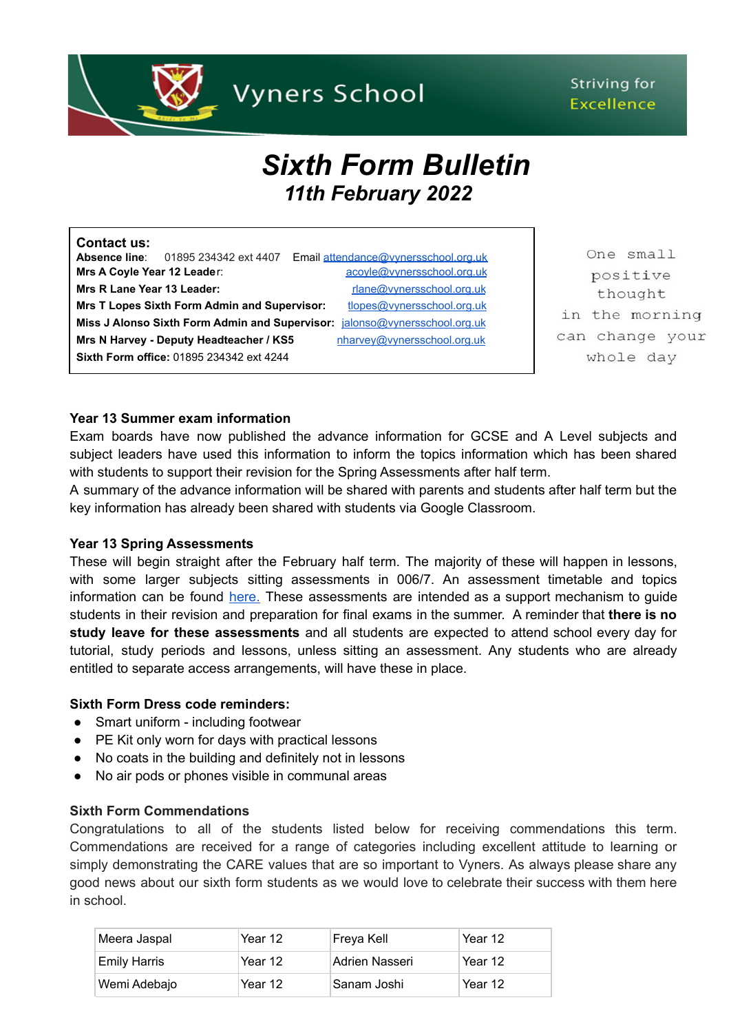

# Striving for **Excellence**

# *Sixth Form Bulletin 11th February 2022*

| <b>Contact us:</b>          |                                                     |                                                                            |
|-----------------------------|-----------------------------------------------------|----------------------------------------------------------------------------|
|                             | <b>Absence line:</b> 01895 234342 ext 4407          | Email attendance@vvnersschool.org.uk                                       |
| Mrs A Coyle Year 12 Leader: |                                                     | acovle@vynersschool.org.uk                                                 |
| Mrs R Lane Year 13 Leader:  |                                                     | rlane@vynersschool.org.uk                                                  |
|                             | <b>Mrs T Lopes Sixth Form Admin and Supervisor:</b> | tlopes@vynersschool.org.uk                                                 |
|                             |                                                     | Miss J Alonso Sixth Form Admin and Supervisor: jalonso@vynersschool.org.uk |
|                             | Mrs N Harvey - Deputy Headteacher / KS5             | nharvey@vynersschool.org.uk                                                |
|                             | Sixth Form office: 01895 234342 ext 4244            |                                                                            |

One small positive thought in the morning can change your whole day

# **Year 13 Summer exam information**

Exam boards have now published the advance information for GCSE and A Level subjects and subject leaders have used this information to inform the topics information which has been shared with students to support their revision for the Spring Assessments after half term.

A summary of the advance information will be shared with parents and students after half term but the key information has already been shared with students via Google Classroom.

#### **Year 13 Spring Assessments**

These will begin straight after the February half term. The majority of these will happen in lessons, with some larger subjects sitting assessments in 006/7. An assessment timetable and topics information can be found [here.](https://www.vynersschool.org.uk/page/?title=Exam+Information&pid=56) These assessments are intended as a support mechanism to guide students in their revision and preparation for final exams in the summer. A reminder that **there is no study leave for these assessments** and all students are expected to attend school every day for tutorial, study periods and lessons, unless sitting an assessment. Any students who are already entitled to separate access arrangements, will have these in place.

#### **Sixth Form Dress code reminders:**

- Smart uniform including footwear
- PE Kit only worn for days with practical lessons
- No coats in the building and definitely not in lessons
- No air pods or phones visible in communal areas

#### **Sixth Form Commendations**

Congratulations to all of the students listed below for receiving commendations this term. Commendations are received for a range of categories including excellent attitude to learning or simply demonstrating the CARE values that are so important to Vyners. As always please share any good news about our sixth form students as we would love to celebrate their success with them here in school.

| Meera Jaspal | "Year 12 | Freya Kell     | Year 12 |
|--------------|----------|----------------|---------|
| Emily Harris | 'Year 12 | Adrien Nasseri | Year 12 |
| Wemi Adebajo | Year 12  | Sanam Joshi    | Year 12 |